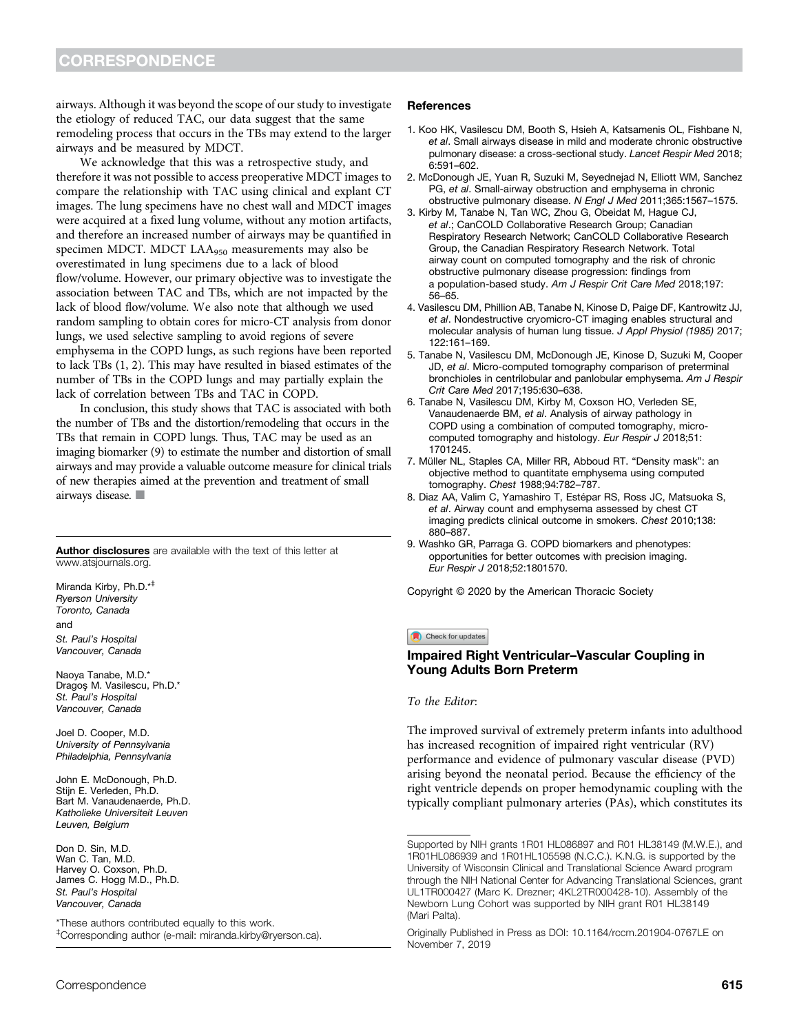airways. Although it was beyond the scope of our study to investigate the etiology of reduced TAC, our data suggest that the same remodeling process that occurs in the TBs may extend to the larger airways and be measured by MDCT.

We acknowledge that this was a retrospective study, and therefore it was not possible to access preoperative MDCT images to compare the relationship with TAC using clinical and explant CT images. The lung specimens have no chest wall and MDCT images were acquired at a fixed lung volume, without any motion artifacts, and therefore an increased number of airways may be quantified in specimen MDCT. MDCT LAA950 measurements may also be overestimated in lung specimens due to a lack of blood flow/volume. However, our primary objective was to investigate the association between TAC and TBs, which are not impacted by the lack of blood flow/volume. We also note that although we used random sampling to obtain cores for micro-CT analysis from donor lungs, we used selective sampling to avoid regions of severe emphysema in the COPD lungs, as such regions have been reported to lack TBs (1, 2). This may have resulted in biased estimates of the number of TBs in the COPD lungs and may partially explain the lack of correlation between TBs and TAC in COPD.

In conclusion, this study shows that TAC is associated with both the number of TBs and the distortion/remodeling that occurs in the TBs that remain in COPD lungs. Thus, TAC may be used as an imaging biomarker (9) to estimate the number and distortion of small airways and may provide a valuable outcome measure for clinical trials of new therapies aimed at the prevention and treatment of small airways disease.  $\Box$ 

Author disclosures are available with the text of this letter at www.atsjournals.org.

Miranda Kirby, Ph.D.\*‡ Ryerson University Toronto, Canada and St. Paul's Hospital Vancouver, Canada

Naoya Tanabe, M.D.\* Dragos¸ M. Vasilescu, Ph.D.\* St. Paul's Hospital Vancouver, Canada

Joel D. Cooper, M.D. University of Pennsylvania Philadelphia, Pennsylvania

John E. McDonough, Ph.D. Stiin E. Verleden, Ph.D. Bart M. Vanaudenaerde, Ph.D. Katholieke Universiteit Leuven Leuven, Belgium

Don D. Sin, M.D. Wan C. Tan, M.D. Harvey O. Coxson, Ph.D. James C. Hogg M.D., Ph.D. St. Paul's Hospital Vancouver, Canada

\*These authors contributed equally to this work. ‡ Corresponding author (e-mail: miranda.kirby@ryerson.ca).

## References

- 1. Koo HK, Vasilescu DM, Booth S, Hsieh A, Katsamenis OL, Fishbane N, et al. Small airways disease in mild and moderate chronic obstructive pulmonary disease: a cross-sectional study. Lancet Respir Med 2018; 6:591–602.
- 2. McDonough JE, Yuan R, Suzuki M, Seyednejad N, Elliott WM, Sanchez PG, et al. Small-airway obstruction and emphysema in chronic obstructive pulmonary disease. N Engl J Med 2011;365:1567–1575.
- 3. Kirby M, Tanabe N, Tan WC, Zhou G, Obeidat M, Hague CJ, et al.; CanCOLD Collaborative Research Group; Canadian Respiratory Research Network; CanCOLD Collaborative Research Group, the Canadian Respiratory Research Network. Total airway count on computed tomography and the risk of chronic obstructive pulmonary disease progression: findings from a population-based study. Am J Respir Crit Care Med 2018;197: 56–65.
- 4. Vasilescu DM, Phillion AB, Tanabe N, Kinose D, Paige DF, Kantrowitz JJ, et al. Nondestructive cryomicro-CT imaging enables structural and molecular analysis of human lung tissue. J Appl Physiol (1985) 2017; 122:161–169.
- 5. Tanabe N, Vasilescu DM, McDonough JE, Kinose D, Suzuki M, Cooper JD, et al. Micro-computed tomography comparison of preterminal bronchioles in centrilobular and panlobular emphysema. Am J Respir Crit Care Med 2017;195:630–638.
- 6. Tanabe N, Vasilescu DM, Kirby M, Coxson HO, Verleden SE, Vanaudenaerde BM, et al. Analysis of airway pathology in COPD using a combination of computed tomography, microcomputed tomography and histology. Eur Respir J 2018;51: 1701245.
- 7. Müller NL, Staples CA, Miller RR, Abboud RT. "Density mask": an objective method to quantitate emphysema using computed tomography. Chest 1988;94:782–787.
- 8. Diaz AA, Valim C, Yamashiro T, Estépar RS, Ross JC, Matsuoka S, et al. Airway count and emphysema assessed by chest CT imaging predicts clinical outcome in smokers. Chest 2010;138: 880–887.
- 9. Washko GR, Parraga G. COPD biomarkers and phenotypes: opportunities for better outcomes with precision imaging. Eur Respir J 2018;52:1801570.

Copyright © 2020 by the American Thoracic Society

### Check for updates

# Impaired Right Ventricular–Vascular Coupling in Young Adults Born Preterm

### To the Editor:

The improved survival of extremely preterm infants into adulthood has increased recognition of impaired right ventricular (RV) performance and evidence of pulmonary vascular disease (PVD) arising beyond the neonatal period. Because the efficiency of the right ventricle depends on proper hemodynamic coupling with the typically compliant pulmonary arteries (PAs), which constitutes its

Supported by NIH grants 1R01 HL086897 and R01 HL38149 (M.W.E.), and 1R01HL086939 and 1R01HL105598 (N.C.C.). K.N.G. is supported by the University of Wisconsin Clinical and Translational Science Award program through the NIH National Center for Advancing Translational Sciences, grant UL1TR000427 (Marc K. Drezner; 4KL2TR000428-10). Assembly of the Newborn Lung Cohort was supported by NIH grant R01 HL38149 (Mari Palta).

Originally Published in Press as DOI: 10.1164/rccm.201904-0767LE on November 7, 2019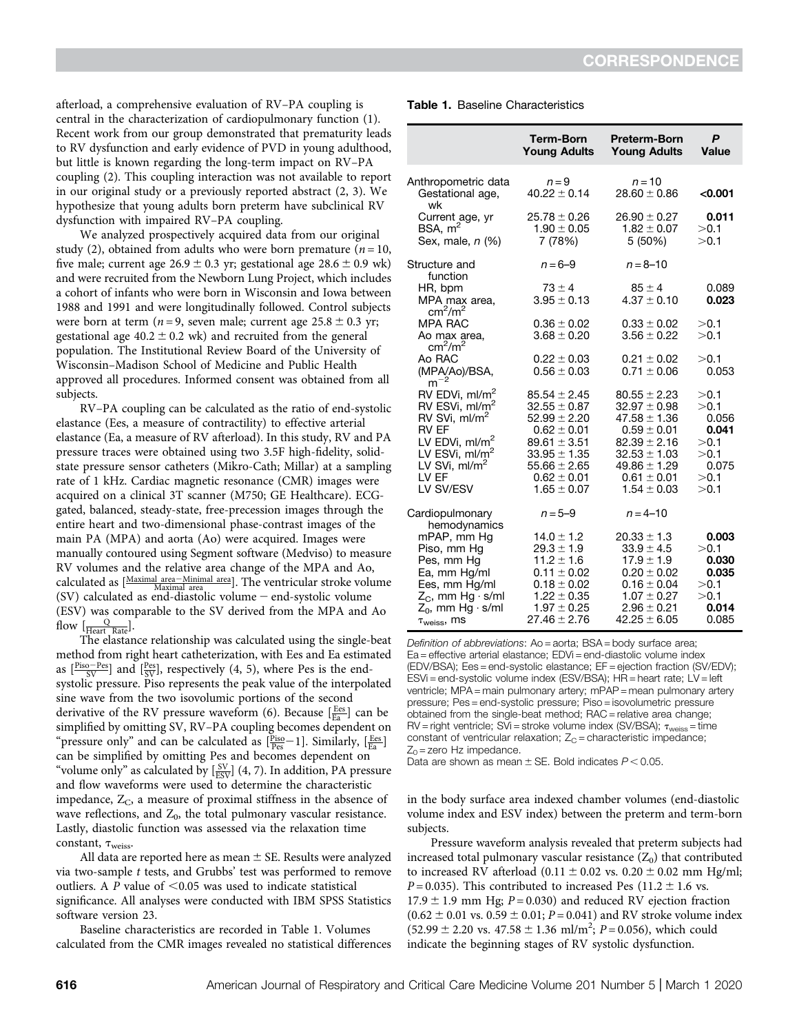afterload, a comprehensive evaluation of RV–PA coupling is central in the characterization of cardiopulmonary function (1). Recent work from our group demonstrated that prematurity leads to RV dysfunction and early evidence of PVD in young adulthood, but little is known regarding the long-term impact on RV–PA coupling (2). This coupling interaction was not available to report in our original study or a previously reported abstract (2, 3). We hypothesize that young adults born preterm have subclinical RV dysfunction with impaired RV–PA coupling.

We analyzed prospectively acquired data from our original study (2), obtained from adults who were born premature ( $n = 10$ , five male; current age  $26.9 \pm 0.3$  yr; gestational age  $28.6 \pm 0.9$  wk) and were recruited from the Newborn Lung Project, which includes a cohort of infants who were born in Wisconsin and Iowa between 1988 and 1991 and were longitudinally followed. Control subjects were born at term ( $n = 9$ , seven male; current age  $25.8 \pm 0.3$  yr; gestational age  $40.2 \pm 0.2$  wk) and recruited from the general population. The Institutional Review Board of the University of Wisconsin–Madison School of Medicine and Public Health approved all procedures. Informed consent was obtained from all subjects.

RV–PA coupling can be calculated as the ratio of end-systolic elastance (Ees, a measure of contractility) to effective arterial elastance (Ea, a measure of RV afterload). In this study, RV and PA pressure traces were obtained using two 3.5F high-fidelity, solidstate pressure sensor catheters (Mikro-Cath; Millar) at a sampling rate of 1 kHz. Cardiac magnetic resonance (CMR) images were acquired on a clinical 3T scanner (M750; GE Healthcare). ECGgated, balanced, steady-state, free-precession images through the entire heart and two-dimensional phase-contrast images of the main PA (MPA) and aorta (Ao) were acquired. Images were manually contoured using Segment software (Medviso) to measure RV volumes and the relative area change of the MPA and Ao, calculated as  $[\frac{\text{Maximal area}-\text{Minimal area}}{\text{Maximal area}}]$ . The ventricular stroke volume (SV) calculated as end-diastolic volume  $-$  end-systolic volume (ESV) was comparable to the SV derived from the MPA and Ao : flow  $\left[\frac{\text{Q}}{\text{Heart}}\right]$  Rate

The elastance relationship was calculated using the single-beat method from right heart catheterization, with Ees and Ea estimated as  $\left[\frac{\text{Piso-Pes}}{\text{SV}}\right]$  and  $\left[\frac{\text{Pes}}{\text{SV}}\right]$ , respectively (4, 5), where Pes is the endsystolic pressure. Piso represents the peak value of the interpolated sine wave from the two isovolumic portions of the second derivative of the RV pressure waveform (6). Because  $\left[\frac{Ees}{Ea}\right]$  can be simplified by omitting SV, RV–PA coupling becomes dependent on "pressure only" and can be calculated as  $[\frac{\text{Piso}}{\text{Pees}}-1]$ . Similarly,  $[\frac{\text{Ees}}{\text{Ea}}]$ can be simplified by omitting Pes and becomes dependent on "volume only" as calculated by  $\left[\frac{\text{SV}}{\text{ESV}}\right]$  (4, 7). In addition, PA pressure and flow waveforms were used to determine the characteristic impedance,  $Z<sub>C</sub>$ , a measure of proximal stiffness in the absence of wave reflections, and  $Z_0$ , the total pulmonary vascular resistance. Lastly, diastolic function was assessed via the relaxation time constant,  $\tau_{\text{weights}}$ .

All data are reported here as mean  $\pm$  SE. Results were analyzed via two-sample t tests, and Grubbs' test was performed to remove outliers. A P value of  $\leq 0.05$  was used to indicate statistical significance. All analyses were conducted with IBM SPSS Statistics software version 23.

Baseline characteristics are recorded in Table 1. Volumes calculated from the CMR images revealed no statistical differences

|  | <b>Table 1.</b> Baseline Characteristics |
|--|------------------------------------------|
|  |                                          |

|                                                                                                                                                                                                           | <b>Term-Born</b><br><b>Young Adults</b>                                                                                                                                       | <b>Preterm-Born</b><br><b>Young Adults</b>                                                                                                                                    | P<br>Value                                                              |
|-----------------------------------------------------------------------------------------------------------------------------------------------------------------------------------------------------------|-------------------------------------------------------------------------------------------------------------------------------------------------------------------------------|-------------------------------------------------------------------------------------------------------------------------------------------------------------------------------|-------------------------------------------------------------------------|
| Anthropometric data<br>Gestational age,<br>wk                                                                                                                                                             | $n = 9$<br>$40.22 \pm 0.14$                                                                                                                                                   | $n = 10$<br>$28.60 \pm 0.86$                                                                                                                                                  | < 0.001                                                                 |
| Current age, yr<br>BSA, $m2$<br>Sex, male, <i>n</i> (%)                                                                                                                                                   | $25.78 \pm 0.26$<br>$1.90 \pm 0.05$<br>7 (78%)                                                                                                                                | $26.90 \pm 0.27$<br>$1.82 \pm 0.07$<br>5 (50%)                                                                                                                                | 0.011<br>>0.1<br>>0.1                                                   |
| Structure and<br>function                                                                                                                                                                                 | $n = 6-9$                                                                                                                                                                     | $n = 8 - 10$                                                                                                                                                                  |                                                                         |
| HR, bpm<br>MPA max area,<br>$\text{cm}^2/\text{m}^2$                                                                                                                                                      | $73 \pm 4$<br>$3.95 \pm 0.13$                                                                                                                                                 | $85 \pm 4$<br>$4.37 \pm 0.10$                                                                                                                                                 | 0.089<br>0.023                                                          |
| <b>MPA RAC</b><br>Ao max area,<br>$\text{cm}^2/\text{m}^2$                                                                                                                                                | $0.36 \pm 0.02$<br>$3.68 \pm 0.20$                                                                                                                                            | $0.33 \pm 0.02$<br>$3.56 \pm 0.22$                                                                                                                                            | >0.1<br>>0.1                                                            |
| Ao RAC<br>(MPA/Ao)/BSA,<br>$m^{-2}$                                                                                                                                                                       | $0.22 \pm 0.03$<br>$0.56 \pm 0.03$                                                                                                                                            | $0.21 \pm 0.02$<br>$0.71 \pm 0.06$                                                                                                                                            | >0.1<br>0.053                                                           |
| RV EDVi, ml/m <sup>2</sup><br>RV ESVi, ml/m <sup>2</sup><br>RV SVi, $ml/m2$<br><b>RV EF</b><br>LV EDVi, ml/m <sup>2</sup><br>LV ESVi, ml/m <sup>2</sup><br>LV SVi, ml/m <sup>2</sup><br>IVFF<br>LV SV/ESV | $85.54 \pm 2.45$<br>$32.55 \pm 0.87$<br>$52.99 \pm 2.20$<br>$0.62 \pm 0.01$<br>$89.61 \pm 3.51$<br>$33.95 \pm 1.35$<br>$55.66 \pm 2.65$<br>$0.62 \pm 0.01$<br>$1.65 \pm 0.07$ | $80.55 \pm 2.23$<br>$32.97 \pm 0.98$<br>$47.58 \pm 1.36$<br>$0.59 \pm 0.01$<br>$82.39 \pm 2.16$<br>$32.53 \pm 1.03$<br>$49.86 \pm 1.29$<br>$0.61 \pm 0.01$<br>$1.54 \pm 0.03$ | >0.1<br>>0.1<br>0.056<br>0.041<br>>0.1<br>>0.1<br>0.075<br>>0.1<br>>0.1 |
| Cardiopulmonary<br>hemodynamics                                                                                                                                                                           | $n = 5 - 9$                                                                                                                                                                   | $n = 4 - 10$                                                                                                                                                                  |                                                                         |
| mPAP, mm Hg<br>Piso, mm Hg<br>Pes, mm Hg<br>Ea, mm Hg/ml<br>Ees, mm Hg/ml<br>$Z_{C}$ , mm Hg · s/ml<br>$Z_0$ , mm Hg · s/ml<br>$\tau_{\text{weiss}}$ , ms                                                 | $14.0 \pm 1.2$<br>$29.3 \pm 1.9$<br>$11.2 \pm 1.6$<br>$0.11 \pm 0.02$<br>$0.18 \pm 0.02$<br>$1.22 \pm 0.35$<br>$1.97 \pm 0.25$<br>$27.46 \pm 2.76$                            | $20.33 \pm 1.3$<br>$33.9 \pm 4.5$<br>$17.9 \pm 1.9$<br>$0.20 \pm 0.02$<br>$0.16 \pm 0.04$<br>$1.07 \pm 0.27$<br>$2.96 \pm 0.21$<br>$42.25 \pm 6.05$                           | 0.003<br>>0.1<br>0.030<br>0.035<br>>0.1<br>>0.1<br>0.014<br>0.085       |

Definition of abbreviations: Ao = aorta; BSA = body surface area; Ea = effective arterial elastance; EDVi = end-diastolic volume index (EDV/BSA); Ees = end-systolic elastance; EF = ejection fraction (SV/EDV); ESVi = end-systolic volume index (ESV/BSA); HR = heart rate; LV = left ventricle; MPA = main pulmonary artery; mPAP = mean pulmonary artery pressure; Pes = end-systolic pressure; Piso = isovolumetric pressure obtained from the single-beat method: RAC = relative area change:  $RV =$  right ventricle; SVi = stroke volume index (SV/BSA);  $\tau_{\text{weights}} =$  time constant of ventricular relaxation;  $Z_C$  = characteristic impedance;  $Z_0$  = zero Hz impedance.

Data are shown as mean  $\pm$  SE. Bold indicates  $P < 0.05$ .

in the body surface area indexed chamber volumes (end-diastolic volume index and ESV index) between the preterm and term-born subjects.

Pressure waveform analysis revealed that preterm subjects had increased total pulmonary vascular resistance  $(Z_0)$  that contributed to increased RV afterload  $(0.11 \pm 0.02 \text{ vs. } 0.20 \pm 0.02 \text{ mm Hg/ml};$  $P = 0.035$ ). This contributed to increased Pes (11.2  $\pm$  1.6 vs.  $17.9 \pm 1.9$  mm Hg;  $P = 0.030$ ) and reduced RV ejection fraction  $(0.62 \pm 0.01 \text{ vs. } 0.59 \pm 0.01; P = 0.041)$  and RV stroke volume index  $(52.99 \pm 2.20 \text{ vs. } 47.58 \pm 1.36 \text{ ml/m}^2; P=0.056)$ , which could indicate the beginning stages of RV systolic dysfunction.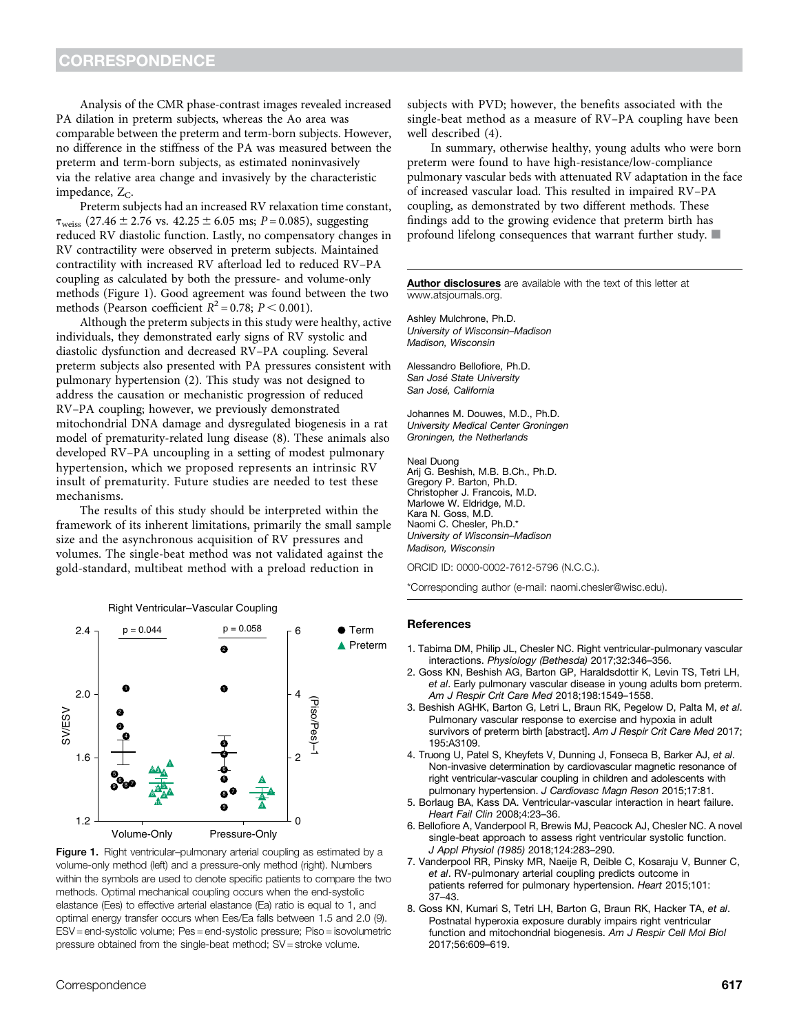Analysis of the CMR phase-contrast images revealed increased PA dilation in preterm subjects, whereas the Ao area was comparable between the preterm and term-born subjects. However, no difference in the stiffness of the PA was measured between the preterm and term-born subjects, as estimated noninvasively via the relative area change and invasively by the characteristic impedance,  $Z_C$ .

Preterm subjects had an increased RV relaxation time constant,  $\tau_{\text{weis}}$  (27.46  $\pm$  2.76 vs. 42.25  $\pm$  6.05 ms; P = 0.085), suggesting reduced RV diastolic function. Lastly, no compensatory changes in RV contractility were observed in preterm subjects. Maintained contractility with increased RV afterload led to reduced RV–PA coupling as calculated by both the pressure- and volume-only methods (Figure 1). Good agreement was found between the two methods (Pearson coefficient  $R^2 = 0.78$ ;  $P < 0.001$ ).

Although the preterm subjects in this study were healthy, active individuals, they demonstrated early signs of RV systolic and diastolic dysfunction and decreased RV–PA coupling. Several preterm subjects also presented with PA pressures consistent with pulmonary hypertension (2). This study was not designed to address the causation or mechanistic progression of reduced RV–PA coupling; however, we previously demonstrated mitochondrial DNA damage and dysregulated biogenesis in a rat model of prematurity-related lung disease (8). These animals also developed RV–PA uncoupling in a setting of modest pulmonary hypertension, which we proposed represents an intrinsic RV insult of prematurity. Future studies are needed to test these mechanisms.

The results of this study should be interpreted within the framework of its inherent limitations, primarily the small sample size and the asynchronous acquisition of RV pressures and volumes. The single-beat method was not validated against the gold-standard, multibeat method with a preload reduction in



Figure 1. Right ventricular–pulmonary arterial coupling as estimated by a volume-only method (left) and a pressure-only method (right). Numbers within the symbols are used to denote specific patients to compare the two methods. Optimal mechanical coupling occurs when the end-systolic elastance (Ees) to effective arterial elastance (Ea) ratio is equal to 1, and optimal energy transfer occurs when Ees/Ea falls between 1.5 and 2.0 (9). ESV = end-systolic volume; Pes = end-systolic pressure; Piso = isovolumetric pressure obtained from the single-beat method; SV = stroke volume.

subjects with PVD; however, the benefits associated with the single-beat method as a measure of RV–PA coupling have been well described (4).

In summary, otherwise healthy, young adults who were born preterm were found to have high-resistance/low-compliance pulmonary vascular beds with attenuated RV adaptation in the face of increased vascular load. This resulted in impaired RV–PA coupling, as demonstrated by two different methods. These findings add to the growing evidence that preterm birth has profound lifelong consequences that warrant further study.  $\blacksquare$ 

Author disclosures are available with the text of this letter at www.atsjournals.org.

Ashley Mulchrone, Ph.D. University of Wisconsin–Madison Madison, Wisconsin

Alessandro Bellofiore, Ph.D. San José State University San José, California

Johannes M. Douwes, M.D., Ph.D. University Medical Center Groningen Groningen, the Netherlands

Neal Duong Arij G. Beshish, M.B. B.Ch., Ph.D. Gregory P. Barton, Ph.D. Christopher J. Francois, M.D. Marlowe W. Eldridge, M.D. Kara N. Goss, M.D. Naomi C. Chesler, Ph.D.\* University of Wisconsin–Madison Madison, Wisconsin

ORCID ID: 0000-0002-7612-5796 (N.C.C.).

\*Corresponding author (e-mail: naomi.chesler@wisc.edu).

### **References**

- 1. Tabima DM, Philip JL, Chesler NC. Right ventricular-pulmonary vascular interactions. Physiology (Bethesda) 2017;32:346–356.
- 2. Goss KN, Beshish AG, Barton GP, Haraldsdottir K, Levin TS, Tetri LH, et al. Early pulmonary vascular disease in young adults born preterm. Am J Respir Crit Care Med 2018;198:1549–1558.
- 3. Beshish AGHK, Barton G, Letri L, Braun RK, Pegelow D, Palta M, et al. Pulmonary vascular response to exercise and hypoxia in adult survivors of preterm birth [abstract]. Am J Respir Crit Care Med 2017; 195:A3109.
- 4. Truong U, Patel S, Kheyfets V, Dunning J, Fonseca B, Barker AJ, et al. Non-invasive determination by cardiovascular magnetic resonance of right ventricular-vascular coupling in children and adolescents with pulmonary hypertension. J Cardiovasc Magn Reson 2015;17:81.
- 5. Borlaug BA, Kass DA. Ventricular-vascular interaction in heart failure. Heart Fail Clin 2008;4:23–36.
- 6. Bellofiore A, Vanderpool R, Brewis MJ, Peacock AJ, Chesler NC. A novel single-beat approach to assess right ventricular systolic function. J Appl Physiol (1985) 2018;124:283–290.
- 7. Vanderpool RR, Pinsky MR, Naeije R, Deible C, Kosaraju V, Bunner C, et al. RV-pulmonary arterial coupling predicts outcome in patients referred for pulmonary hypertension. Heart 2015;101: 37–43.
- 8. Goss KN, Kumari S, Tetri LH, Barton G, Braun RK, Hacker TA, et al. Postnatal hyperoxia exposure durably impairs right ventricular function and mitochondrial biogenesis. Am J Respir Cell Mol Biol 2017;56:609–619.